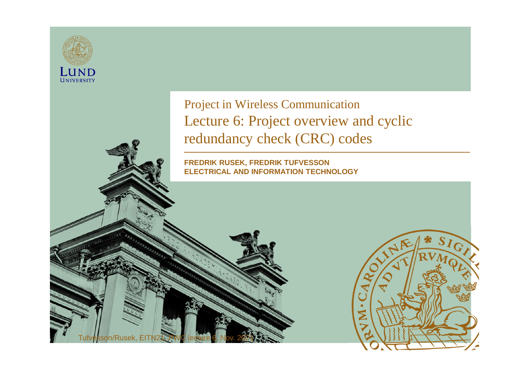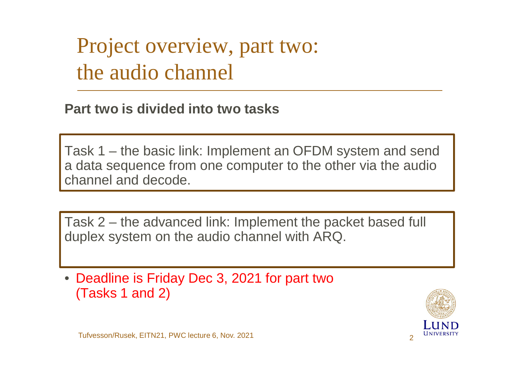Project overview, part two: the audio channel

**Part two is divided into two tasks**

Task 1 – the basic link: Implement an OFDM system and send a data sequence from one computer to the other via the audio channel and decode.

Task 2 – the advanced link: Implement the packet based full duplex system on the audio channel with ARQ.

• Deadline is Friday Dec 3, 2021 for part two (Tasks 1 and 2)

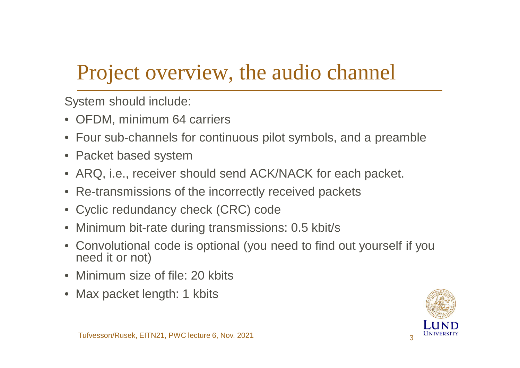# Project overview, the audio channel

System should include:

- OFDM, minimum 64 carriers
- Four sub-channels for continuous pilot symbols, and a preamble
- Packet based system
- ARQ, i.e., receiver should send ACK/NACK for each packet.
- Re-transmissions of the incorrectly received packets
- Cyclic redundancy check (CRC) code
- Minimum bit-rate during transmissions: 0.5 kbit/s
- Convolutional code is optional (you need to find out yourself if you need it or not)
- Minimum size of file: 20 kbits
- Max packet length: 1 kbits

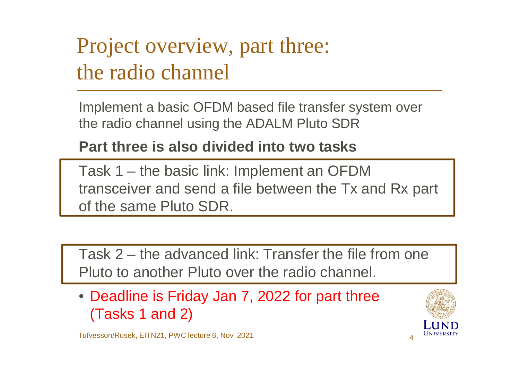Project overview, part three: the radio channel

Implement a basic OFDM based file transfer system over the radio channel using the ADALM Pluto SDR

**Part three is also divided into two tasks**

Task 1 – the basic link: Implement an OFDM transceiver and send a file between the Tx and Rx part of the same Pluto SDR.

Task 2 – the advanced link: Transfer the file from one Pluto to another Pluto over the radio channel.

• Deadline is Friday Jan 7, 2022 for part three (Tasks 1 and 2)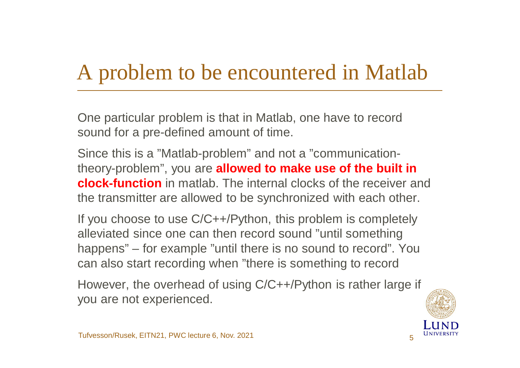# A problem to be encountered in Matlab

One particular problem is that in Matlab, one have to record sound for a pre-defined amount of time.

Since this is a "Matlab-problem" and not a "communicationtheory-problem", you are **allowed to make use of the built in clock-function** in matlab. The internal clocks of the receiver and the transmitter are allowed to be synchronized with each other.

If you choose to use C/C++/Python, this problem is completely alleviated since one can then record sound "until something happens" – for example "until there is no sound to record". You can also start recording when "there is something to record

However, the overhead of using C/C++/Python is rather large if you are not experienced.

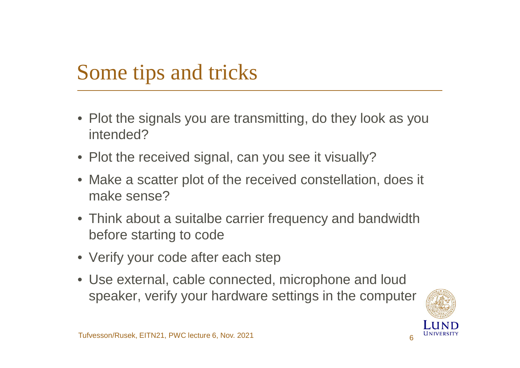# Some tips and tricks

- Plot the signals you are transmitting, do they look as you intended?
- Plot the received signal, can you see it visually?
- Make a scatter plot of the received constellation, does it make sense?
- Think about a suitalbe carrier frequency and bandwidth before starting to code
- Verify your code after each step
- Use external, cable connected, microphone and loud speaker, verify your hardware settings in the computer

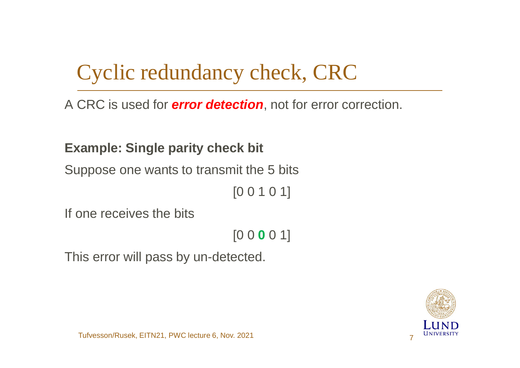# Cyclic redundancy check, CRC

A CRC is used for *error detection*, not for error correction.

**Example: Single parity check bit**

Suppose one wants to transmit the 5 bits

[0 0 1 0 1]

If one receives the bits

[0 0 **0** 0 1]

This error will pass by un-detected.

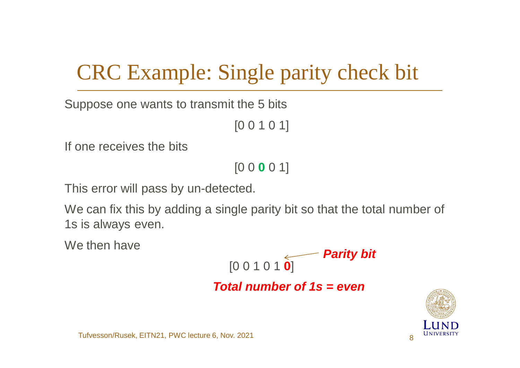# CRC Example: Single parity check bit

Suppose one wants to transmit the 5 bits

[0 0 1 0 1]

If one receives the bits

[0 0 **0** 0 1]

This error will pass by un-detected.

We can fix this by adding a single parity bit so that the total number of 1s is always even.

We then have

$$
[0\ 0\ 1\ 0\ 1\ 0]
$$
 **Parity bit**

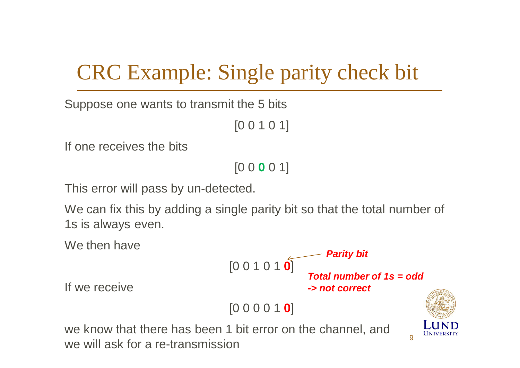# CRC Example: Single parity check bit

Suppose one wants to transmit the 5 bits

```
[0 0 1 0 1]
```
If one receives the bits

[0 0 **0** 0 1]

This error will pass by un-detected.

We can fix this by adding a single parity bit so that the total number of 1s is always even.

We then have



If we receive

we know that there has been 1 bit error on the channel, and we will ask for a re-transmission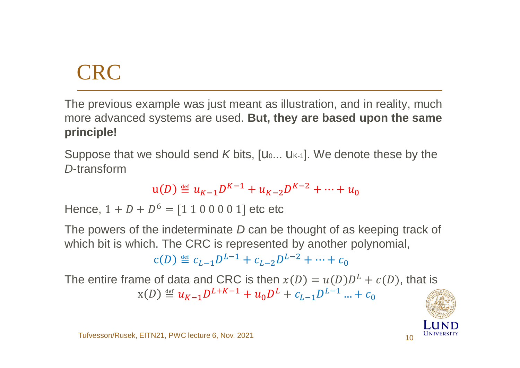# CRC

The previous example was just meant as illustration, and in reality, much more advanced systems are used. **But, they are based upon the same principle!**

Suppose that we should send *K* bits, [U... U<sub>K-1</sub>]. We denote these by the *D*-transform

$$
u(D) \stackrel{\text{def}}{=} u_{K-1}D^{K-1} + u_{K-2}D^{K-2} + \dots + u_0
$$

Hence,  $1 + D + D^6 = [1 1 0 0 0 0 1]$  etc etc

The powers of the indeterminate *D* can be thought of as keeping track of which bit is which. The CRC is represented by another polynomial,

$$
c(D) \stackrel{\text{def}}{=} c_{L-1}D^{L-1} + c_{L-2}D^{L-2} + \dots + c_0
$$

The entire frame of data and CRC is then  $x(D) = u(D)D^{L} + c(D)$ , that is  $\alpha(D) \stackrel{\text{def}}{=} u_{K-1}D^{L+K-1} + u_0D^L + c_{L-1}D^{L-1} + c_0$ 

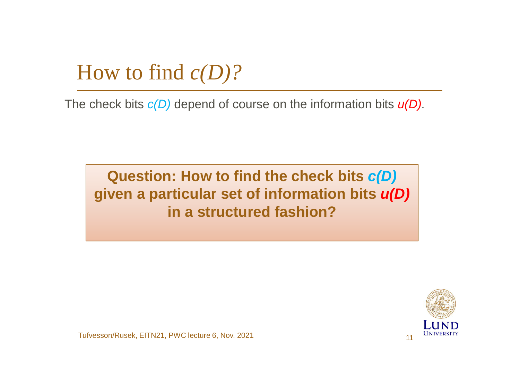How to find *c(D)?*

The check bits *c(D)* depend of course on the information bits *u(D).*

**Question: How to find the check bits** *c(D)* **given a particular set of information bits** *u(D)* **in a structured fashion?**



Tufvesson/Rusek, EITN21, PWC lecture 6, Nov. 2021 11 11 11 12 12 13 14 15 16 17 18 19 11 11 11 11 11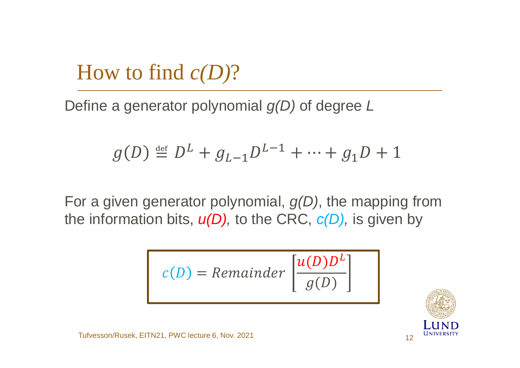#### How to find *c(D)*?

Define a generator polynomial *g(D)* of degree *L*

$$
g(D) \stackrel{\text{def}}{=} D^L + g_{L-1}D^{L-1} + \dots + g_1D + 1
$$

For a given generator polynomial, *g(D)*, the mapping from the information bits, *u(D),* to the CRC, *c(D),* is given by

$$
c(D) = Remainder \left[ \frac{u(D)D^{L}}{g(D)} \right]
$$

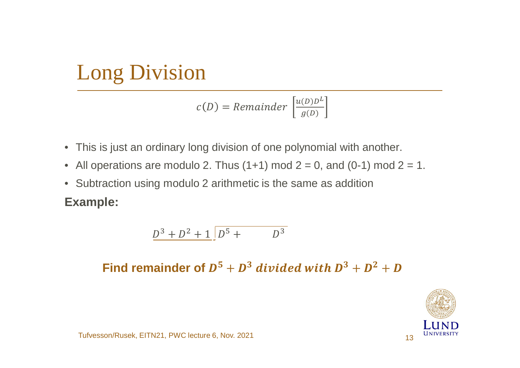$$
c(D) = Remainder \left[\frac{u(D)D^{L}}{g(D)}\right]
$$

- This is just an ordinary long division of one polynomial with another.
- All operations are modulo 2. Thus  $(1+1)$  mod  $2 = 0$ , and  $(0-1)$  mod  $2 = 1$ .
- Subtraction using modulo 2 arithmetic is the same as addition

**Example:**

$$
\underline{D^3 + D^2 + 1} \boxed{D^5 + D^3}
$$

Find remainder of  $D^5 + D^3$  divided with  $D^3 + D^2 + D$ 

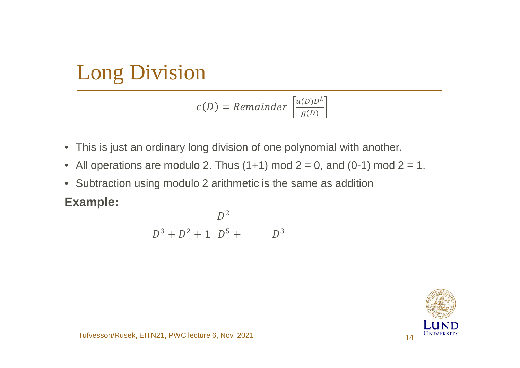$$
c(D) = Remainder \left[ \frac{u(D)D^{L}}{g(D)} \right]
$$

- This is just an ordinary long division of one polynomial with another.
- All operations are modulo 2. Thus  $(1+1)$  mod  $2 = 0$ , and  $(0-1)$  mod  $2 = 1$ .
- Subtraction using modulo 2 arithmetic is the same as addition

**Example:**

$$
\frac{D^3 + D^2 + 1}{D^5 + D^3}
$$

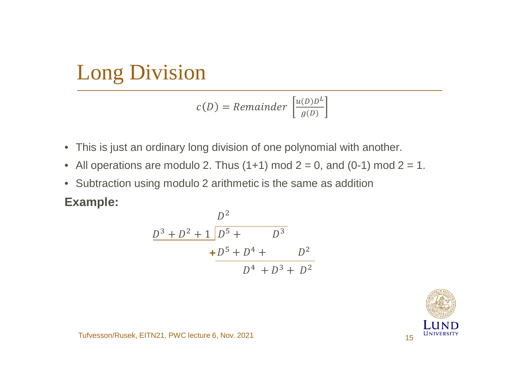$$
c(D) = Remainder \left[ \frac{u(D)D^{L}}{g(D)} \right]
$$

- This is just an ordinary long division of one polynomial with another.
- All operations are modulo 2. Thus  $(1+1)$  mod  $2 = 0$ , and  $(0-1)$  mod  $2 = 1$ .
- Subtraction using modulo 2 arithmetic is the same as addition

**Example:**

$$
\frac{D^2}{D^3 + D^2 + 1 \overline{D^5 + D^3 + D^3}}
$$
  
+ 
$$
\frac{D^5 + D^4 + D^3}{D^4 + D^3 + D^2}
$$

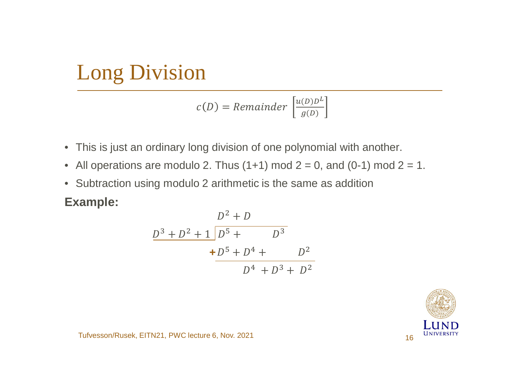$$
c(D) = Remainder \left[ \frac{u(D)D^{L}}{g(D)} \right]
$$

- This is just an ordinary long division of one polynomial with another.
- All operations are modulo 2. Thus  $(1+1)$  mod  $2 = 0$ , and  $(0-1)$  mod  $2 = 1$ .
- Subtraction using modulo 2 arithmetic is the same as addition

**Example:**

$$
D^{2} + D
$$
\n
$$
\frac{D^{3} + D^{2} + 1 \overline{D^{5} + D^{4} + D^{3}}}{+ \overline{D^{5} + D^{4} + D^{2} + D^{2}}}
$$
\n
$$
D^{4} + D^{3} + D^{2}
$$

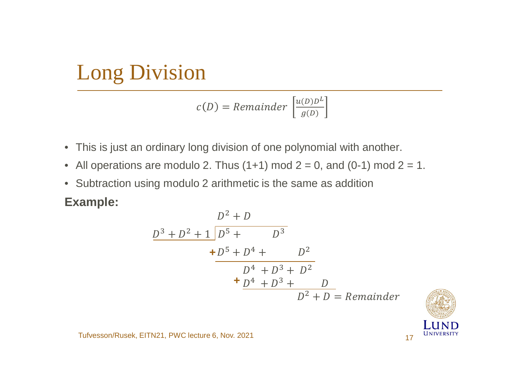$$
c(D) = Remainder \left[ \frac{u(D)D^{L}}{g(D)} \right]
$$

- This is just an ordinary long division of one polynomial with another.
- All operations are modulo 2. Thus  $(1+1)$  mod  $2 = 0$ , and  $(0-1)$  mod  $2 = 1$ .
- Subtraction using modulo 2 arithmetic is the same as addition

**Example:**

$$
D^{2} + D
$$
\n
$$
\frac{D^{3} + D^{2} + 1 \overline{D^{5} + D^{4} + D^{3}}}{+ \overline{D^{5} + D^{4} + D^{3} + D^{2}}}
$$
\n
$$
+ \underline{D^{4} + D^{3} + D^{2}}
$$
\n
$$
+ \underline{D^{4} + D^{3} + D^{2}}
$$
\n
$$
D^{2} + D = Remainder
$$

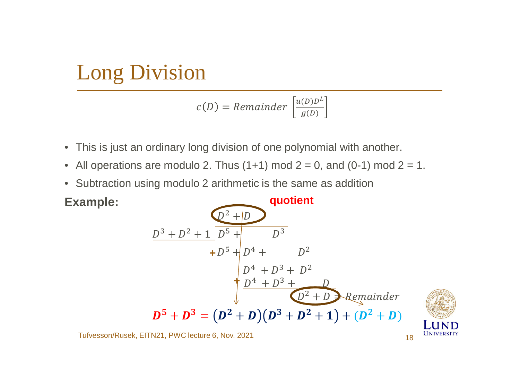$$
c(D) = Remainder \left[ \frac{u(D)D^{L}}{g(D)} \right]
$$

- This is just an ordinary long division of one polynomial with another.
- All operations are modulo 2. Thus  $(1+1)$  mod  $2 = 0$ , and  $(0-1)$  mod  $2 = 1$ .
- Subtraction using modulo 2 arithmetic is the same as addition

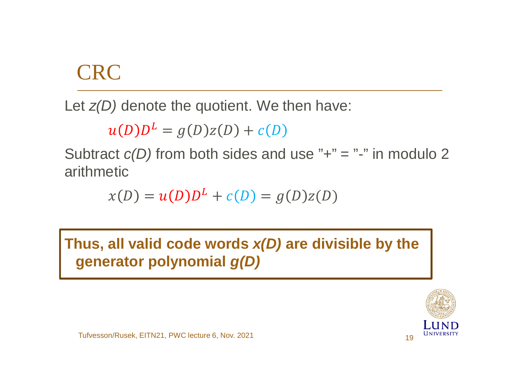#### **CRC**

Let *z(D)* denote the quotient. We then have:

$$
u(D)DL = g(D)z(D) + c(D)
$$

Subtract  $c(D)$  from both sides and use  $"+' = "-'$  in modulo 2 arithmetic

$$
x(D) = u(D)DL + c(D) = g(D)z(D)
$$

**Thus, all valid code words** *x(D)* **are divisible by the generator polynomial** *g(D)*

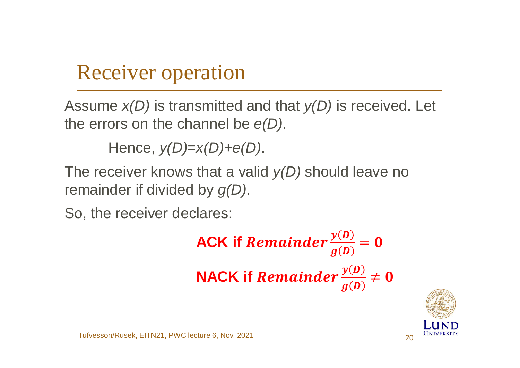# Receiver operation

Assume *x(D)* is transmitted and that *y(D)* is received. Let the errors on the channel be *e(D)*.

Hence, *y(D)*=*x(D)*+*e(D)*.

The receiver knows that a valid *y(D)* should leave no remainder if divided by *g(D)*.

So, the receiver declares:



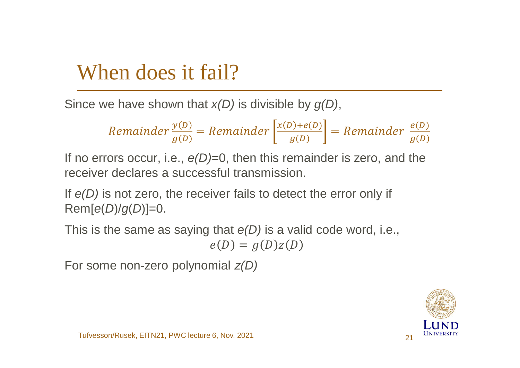#### When does it fail?

Since we have shown that *x(D)* is divisible by *g(D)*,

Remainder 
$$
\frac{y(D)}{g(D)}
$$
 = Remainder  $\left[ \frac{x(D) + e(D)}{g(D)} \right]$  = Remainder  $\frac{e(D)}{g(D)}$ 

If no errors occur, i.e., *e(D)*=0, then this remainder is zero, and the receiver declares a successful transmission.

If *e(D)* is not zero, the receiver fails to detect the error only if Rem[*e*(*D*)/*g*(*D*)]=0.

This is the same as saying that *e(D)* is a valid code word, i.e.,

$$
e(D) = g(D)z(D)
$$

For some non-zero polynomial *z(D)*

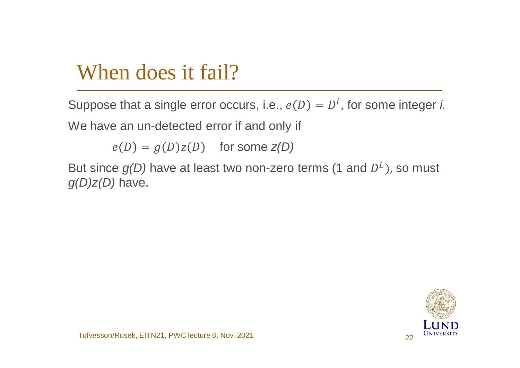#### When does it fail?

Suppose that a single error occurs, i.e.,  $e(D) = D<sup>i</sup>$ , for some integer *i.* We have an un-detected error if and only if

 $e(D) = g(D)z(D)$  for some  $z(D)$ 

But since  $g(D)$  have at least two non-zero terms (1 and  $D<sup>L</sup>$ ), so must *g(D)z(D)* have.

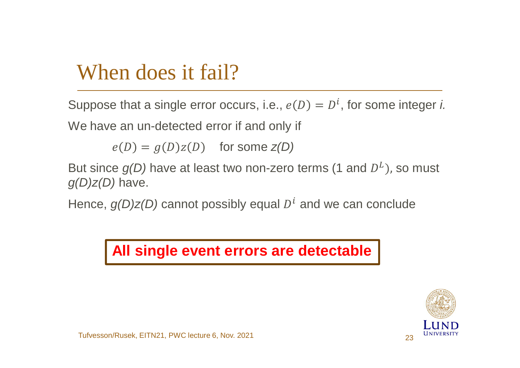#### When does it fail?

Suppose that a single error occurs, i.e.,  $e(D) = D<sup>i</sup>$ , for some integer *i.* We have an un-detected error if and only if

 $e(D) = g(D)z(D)$  for some  $z(D)$ 

But since  $g(D)$  have at least two non-zero terms (1 and  $D<sup>L</sup>$ ), so must *g(D)z(D)* have.

Hence,  $g(D)z(D)$  cannot possibly equal  $D<sup>i</sup>$  and we can conclude

#### **All single event errors are detectable**

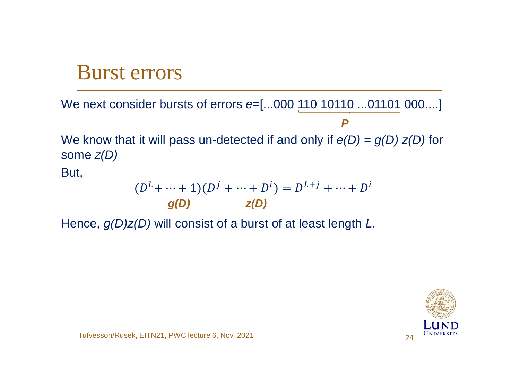#### Burst errors

We next consider bursts of errors  $e=[...000 110 10110 ...01101 000...]$ We know that it will pass un-detected if and only if *e(D) = g(D) z(D)* for some *z(D)* But, *P*

$$
(D^{L} + \dots + 1)(D^{j} + \dots + D^{i}) = D^{L+j} + \dots + D^{i}
$$
  
g(D) z(D)

Hence, *g(D)z(D)* will consist of a burst of at least length *L.*

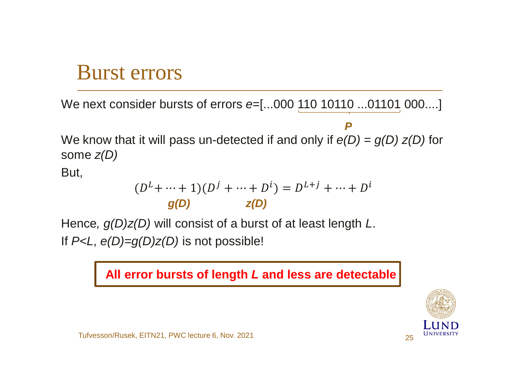#### Burst errors

We next consider bursts of errors *e*=[...000 110 10110 ...01101 000....]

We know that it will pass un-detected if and only if *e(D) = g(D) z(D)* for some *z(D) P*

But,

$$
(D^{L} + \dots + 1)(D^{j} + \dots + D^{i}) = D^{L+j} + \dots + D^{i}
$$
  
g(D) z(D)

Hence*, g(D)z(D)* will consist of a burst of at least length *L*. If *P<L*, *e(D)=g(D)z(D)* is not possible!

**All error bursts of length** *L* **and less are detectable**

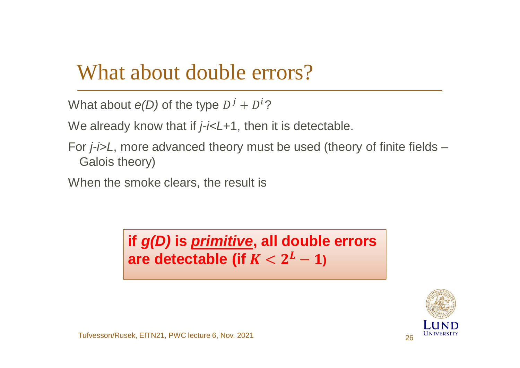#### What about double errors?

```
What about e(D) of the type D^j + D^i?
```
We already know that if *j-i<L*+1, then it is detectable.

For *j-i>L*, more advanced theory must be used (theory of finite fields – Galois theory)

When the smoke clears, the result is

are detectable (if  $K < 2^L-1$ ) **if** *g(D)* **is** *primitive***, all double errors**

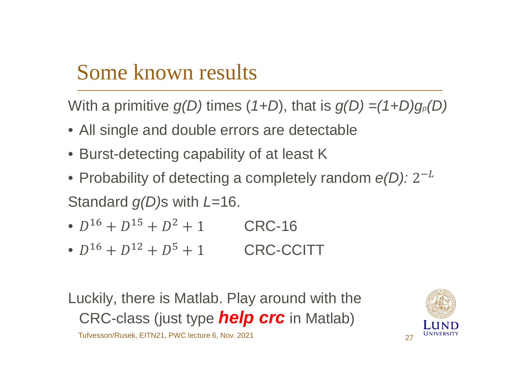### Some known results

With a primitive *g(D)* times (*1+D*), that is *g(D) =(1+D)gp(D)*

- All single and double errors are detectable
- Burst-detecting capability of at least K
- Probability of detecting a completely random  $e(D)$ : 2<sup>-L</sup> Standard *g(D)*s with *L*=16.
- $D^{16} + D^{15} + D^2 + 1$  CRC-16
- $D^{16} + D^{12} + D^5 + 1$  CRC-CCITT

Luckily, there is Matlab. Play around with the CRC-class (just type *help crc* in Matlab)